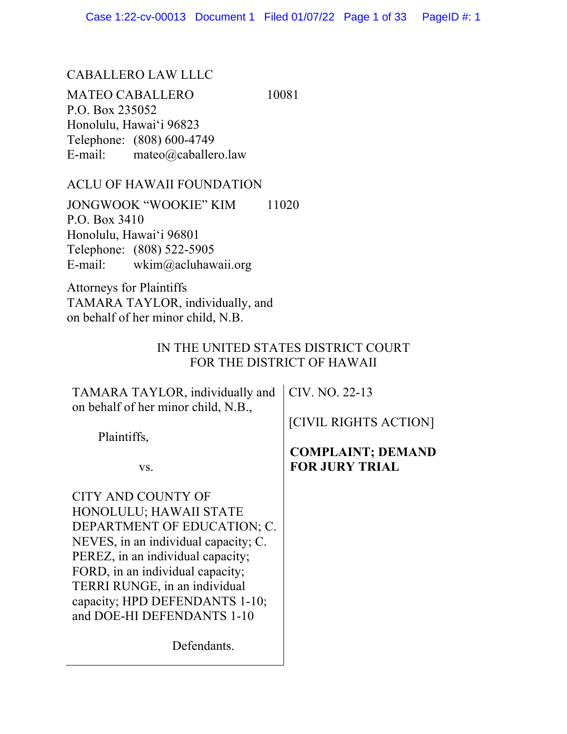### CABALLERO LAW LLLC

MATEO CABALLERO 10081 P.O. Box 235052 Honolulu, Hawaiʻi 96823 Telephone: (808) 600-4749 E-mail: mateo@caballero.law

### ACLU OF HAWAII FOUNDATION

JONGWOOK "WOOKIE" KIM 11020 P.O. Box 3410 Honolulu, Hawaiʻi 96801 Telephone: (808) 522-5905 E-mail: wkim@acluhawaii.org

Attorneys for Plaintiffs TAMARA TAYLOR, individually, and on behalf of her minor child, N.B.

## IN THE UNITED STATES DISTRICT COURT FOR THE DISTRICT OF HAWAII

| TAMARA TAYLOR, individually and<br>on behalf of her minor child, N.B., | CIV. NO. 22-13                                    |
|------------------------------------------------------------------------|---------------------------------------------------|
| Plaintiffs,                                                            | [CIVIL RIGHTS ACTION]                             |
| VS.                                                                    | <b>COMPLAINT; DEMAND</b><br><b>FOR JURY TRIAL</b> |
| CITY AND COUNTY OF                                                     |                                                   |
| HONOLULU; HAWAII STATE                                                 |                                                   |
| DEPARTMENT OF EDUCATION; C.                                            |                                                   |
| NEVES, in an individual capacity; C.                                   |                                                   |
| PEREZ, in an individual capacity;                                      |                                                   |
| FORD, in an individual capacity;                                       |                                                   |
| TERRI RUNGE, in an individual                                          |                                                   |
| capacity; HPD DEFENDANTS 1-10;                                         |                                                   |
| and DOE-HI DEFENDANTS 1-10                                             |                                                   |
| Defendants.                                                            |                                                   |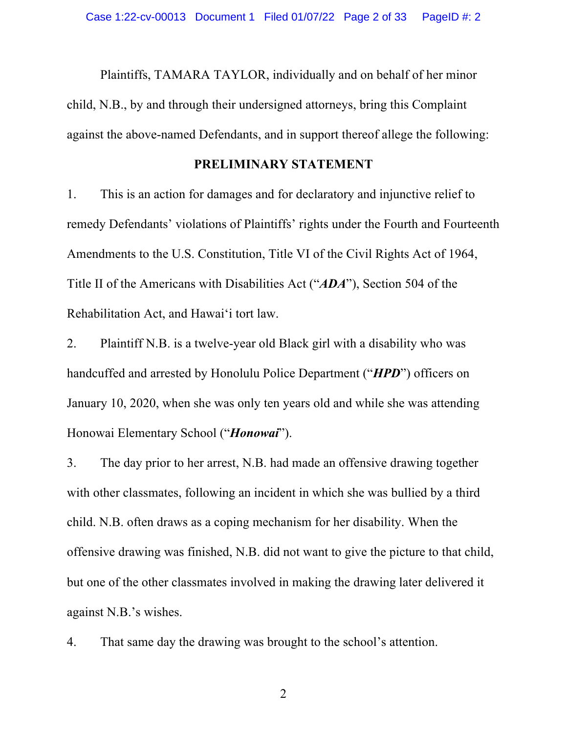Plaintiffs, TAMARA TAYLOR, individually and on behalf of her minor child, N.B., by and through their undersigned attorneys, bring this Complaint against the above-named Defendants, and in support thereof allege the following:

#### **PRELIMINARY STATEMENT**

1. This is an action for damages and for declaratory and injunctive relief to remedy Defendants' violations of Plaintiffs' rights under the Fourth and Fourteenth Amendments to the U.S. Constitution, Title VI of the Civil Rights Act of 1964, Title II of the Americans with Disabilities Act ("*ADA*"), Section 504 of the Rehabilitation Act, and Hawaiʻi tort law.

2. Plaintiff N.B. is a twelve-year old Black girl with a disability who was handcuffed and arrested by Honolulu Police Department ("*HPD*") officers on January 10, 2020, when she was only ten years old and while she was attending Honowai Elementary School ("*Honowai*").

3. The day prior to her arrest, N.B. had made an offensive drawing together with other classmates, following an incident in which she was bullied by a third child. N.B. often draws as a coping mechanism for her disability. When the offensive drawing was finished, N.B. did not want to give the picture to that child, but one of the other classmates involved in making the drawing later delivered it against N.B.'s wishes.

4. That same day the drawing was brought to the school's attention.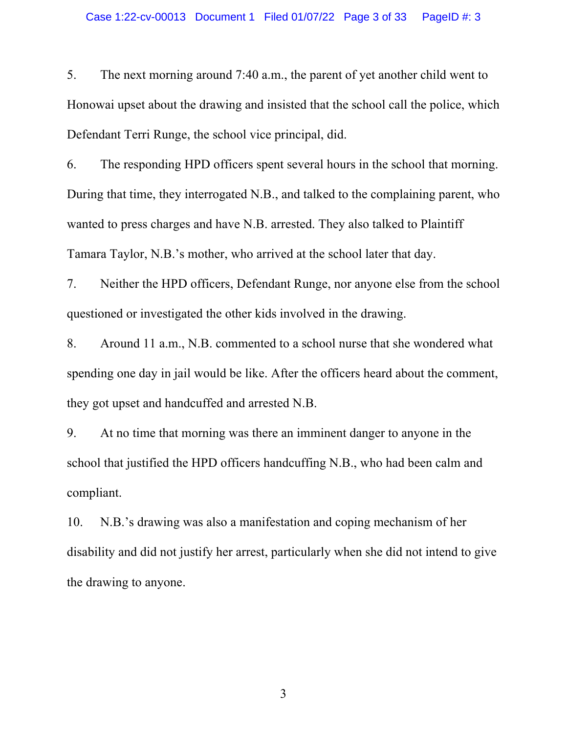5. The next morning around 7:40 a.m., the parent of yet another child went to Honowai upset about the drawing and insisted that the school call the police, which Defendant Terri Runge, the school vice principal, did.

6. The responding HPD officers spent several hours in the school that morning. During that time, they interrogated N.B., and talked to the complaining parent, who wanted to press charges and have N.B. arrested. They also talked to Plaintiff Tamara Taylor, N.B.'s mother, who arrived at the school later that day.

7. Neither the HPD officers, Defendant Runge, nor anyone else from the school questioned or investigated the other kids involved in the drawing.

8. Around 11 a.m., N.B. commented to a school nurse that she wondered what spending one day in jail would be like. After the officers heard about the comment, they got upset and handcuffed and arrested N.B.

9. At no time that morning was there an imminent danger to anyone in the school that justified the HPD officers handcuffing N.B., who had been calm and compliant.

10. N.B.'s drawing was also a manifestation and coping mechanism of her disability and did not justify her arrest, particularly when she did not intend to give the drawing to anyone.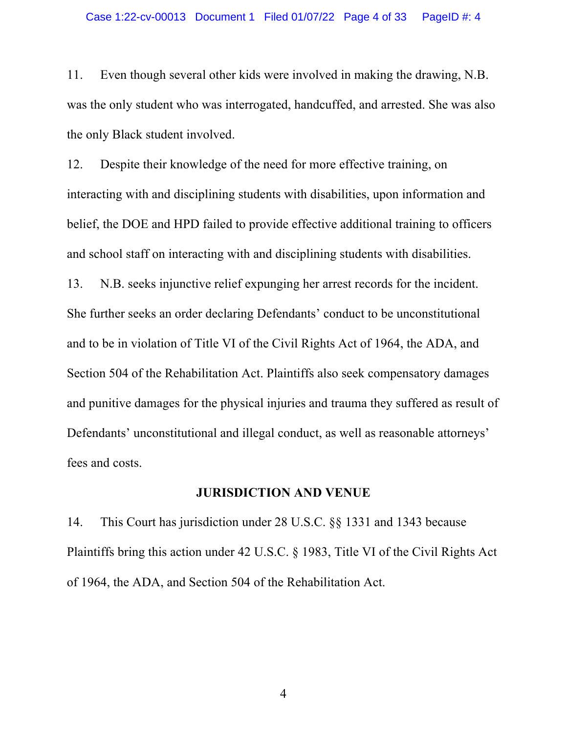11. Even though several other kids were involved in making the drawing, N.B. was the only student who was interrogated, handcuffed, and arrested. She was also the only Black student involved.

12. Despite their knowledge of the need for more effective training, on interacting with and disciplining students with disabilities, upon information and belief, the DOE and HPD failed to provide effective additional training to officers and school staff on interacting with and disciplining students with disabilities.

13. N.B. seeks injunctive relief expunging her arrest records for the incident. She further seeks an order declaring Defendants' conduct to be unconstitutional and to be in violation of Title VI of the Civil Rights Act of 1964, the ADA, and Section 504 of the Rehabilitation Act. Plaintiffs also seek compensatory damages and punitive damages for the physical injuries and trauma they suffered as result of Defendants' unconstitutional and illegal conduct, as well as reasonable attorneys' fees and costs.

#### **JURISDICTION AND VENUE**

14. This Court has jurisdiction under 28 U.S.C. §§ 1331 and 1343 because Plaintiffs bring this action under 42 U.S.C. § 1983, Title VI of the Civil Rights Act of 1964, the ADA, and Section 504 of the Rehabilitation Act.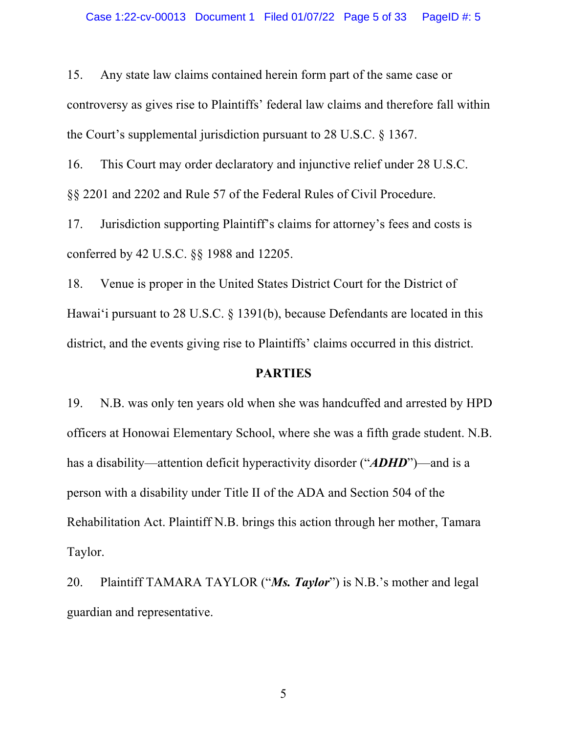15. Any state law claims contained herein form part of the same case or controversy as gives rise to Plaintiffs' federal law claims and therefore fall within the Court's supplemental jurisdiction pursuant to 28 U.S.C. § 1367.

16. This Court may order declaratory and injunctive relief under 28 U.S.C.

§§ 2201 and 2202 and Rule 57 of the Federal Rules of Civil Procedure.

17. Jurisdiction supporting Plaintiff's claims for attorney's fees and costs is conferred by 42 U.S.C. §§ 1988 and 12205.

18. Venue is proper in the United States District Court for the District of Hawaiʻi pursuant to 28 U.S.C. § 1391(b), because Defendants are located in this district, and the events giving rise to Plaintiffs' claims occurred in this district.

### **PARTIES**

19. N.B. was only ten years old when she was handcuffed and arrested by HPD officers at Honowai Elementary School, where she was a fifth grade student. N.B. has a disability—attention deficit hyperactivity disorder ("*ADHD*")—and is a person with a disability under Title II of the ADA and Section 504 of the Rehabilitation Act. Plaintiff N.B. brings this action through her mother, Tamara Taylor.

20. Plaintiff TAMARA TAYLOR ("*Ms. Taylor*") is N.B.'s mother and legal guardian and representative.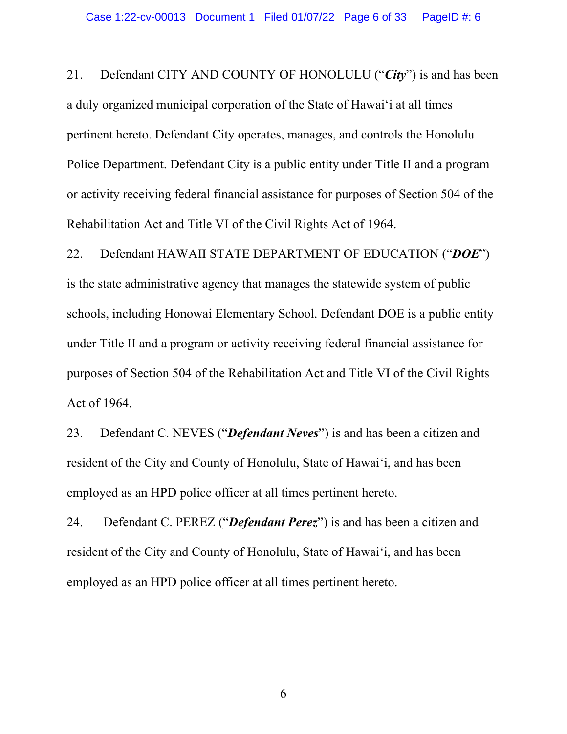21. Defendant CITY AND COUNTY OF HONOLULU ("*City*") is and has been a duly organized municipal corporation of the State of Hawaiʻi at all times pertinent hereto. Defendant City operates, manages, and controls the Honolulu Police Department. Defendant City is a public entity under Title II and a program or activity receiving federal financial assistance for purposes of Section 504 of the Rehabilitation Act and Title VI of the Civil Rights Act of 1964.

22. Defendant HAWAII STATE DEPARTMENT OF EDUCATION ("*DOE*") is the state administrative agency that manages the statewide system of public schools, including Honowai Elementary School. Defendant DOE is a public entity under Title II and a program or activity receiving federal financial assistance for purposes of Section 504 of the Rehabilitation Act and Title VI of the Civil Rights Act of 1964.

23. Defendant C. NEVES ("*Defendant Neves*") is and has been a citizen and resident of the City and County of Honolulu, State of Hawaiʻi, and has been employed as an HPD police officer at all times pertinent hereto.

24. Defendant C. PEREZ ("*Defendant Perez*") is and has been a citizen and resident of the City and County of Honolulu, State of Hawaiʻi, and has been employed as an HPD police officer at all times pertinent hereto.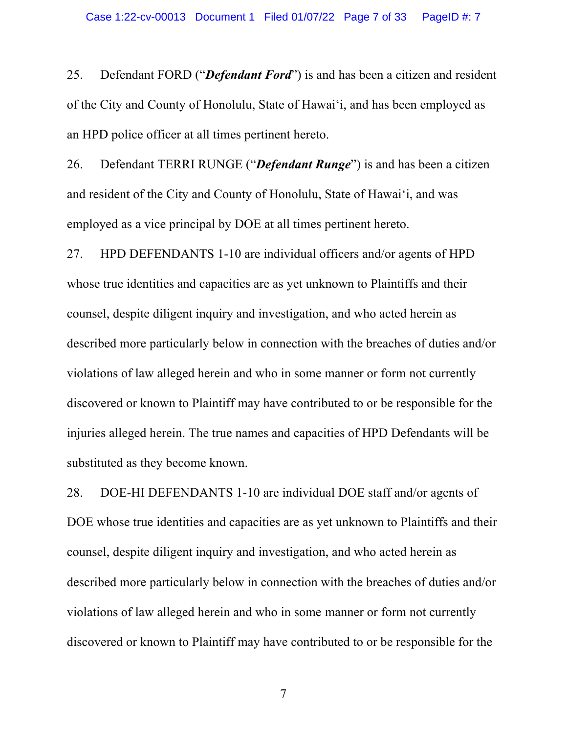25. Defendant FORD ("*Defendant Ford*") is and has been a citizen and resident of the City and County of Honolulu, State of Hawaiʻi, and has been employed as an HPD police officer at all times pertinent hereto.

26. Defendant TERRI RUNGE ("*Defendant Runge*") is and has been a citizen and resident of the City and County of Honolulu, State of Hawaiʻi, and was employed as a vice principal by DOE at all times pertinent hereto.

27. HPD DEFENDANTS 1-10 are individual officers and/or agents of HPD whose true identities and capacities are as yet unknown to Plaintiffs and their counsel, despite diligent inquiry and investigation, and who acted herein as described more particularly below in connection with the breaches of duties and/or violations of law alleged herein and who in some manner or form not currently discovered or known to Plaintiff may have contributed to or be responsible for the injuries alleged herein. The true names and capacities of HPD Defendants will be substituted as they become known.

28. DOE-HI DEFENDANTS 1-10 are individual DOE staff and/or agents of DOE whose true identities and capacities are as yet unknown to Plaintiffs and their counsel, despite diligent inquiry and investigation, and who acted herein as described more particularly below in connection with the breaches of duties and/or violations of law alleged herein and who in some manner or form not currently discovered or known to Plaintiff may have contributed to or be responsible for the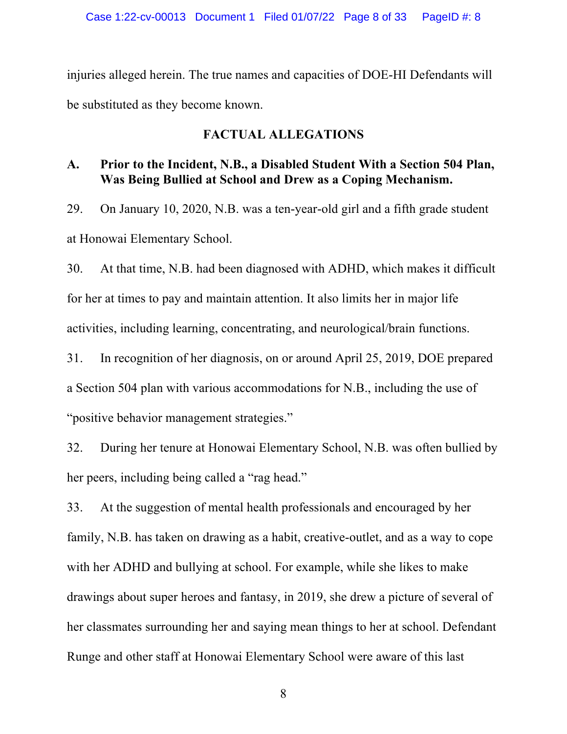injuries alleged herein. The true names and capacities of DOE-HI Defendants will be substituted as they become known.

#### **FACTUAL ALLEGATIONS**

# **A. Prior to the Incident, N.B., a Disabled Student With a Section 504 Plan, Was Being Bullied at School and Drew as a Coping Mechanism.**

29. On January 10, 2020, N.B. was a ten-year-old girl and a fifth grade student at Honowai Elementary School.

30. At that time, N.B. had been diagnosed with ADHD, which makes it difficult for her at times to pay and maintain attention. It also limits her in major life activities, including learning, concentrating, and neurological/brain functions.

31. In recognition of her diagnosis, on or around April 25, 2019, DOE prepared a Section 504 plan with various accommodations for N.B., including the use of "positive behavior management strategies."

32. During her tenure at Honowai Elementary School, N.B. was often bullied by her peers, including being called a "rag head."

33. At the suggestion of mental health professionals and encouraged by her family, N.B. has taken on drawing as a habit, creative-outlet, and as a way to cope with her ADHD and bullying at school. For example, while she likes to make drawings about super heroes and fantasy, in 2019, she drew a picture of several of her classmates surrounding her and saying mean things to her at school. Defendant Runge and other staff at Honowai Elementary School were aware of this last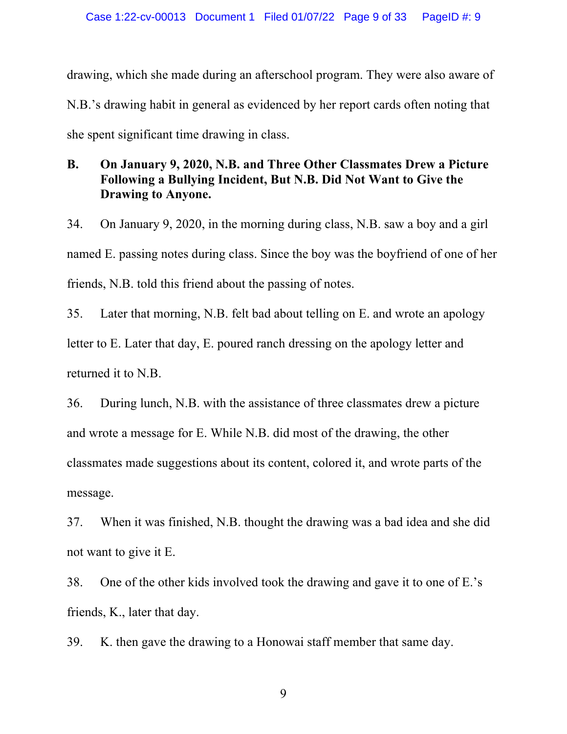drawing, which she made during an afterschool program. They were also aware of N.B.'s drawing habit in general as evidenced by her report cards often noting that she spent significant time drawing in class.

## **B. On January 9, 2020, N.B. and Three Other Classmates Drew a Picture Following a Bullying Incident, But N.B. Did Not Want to Give the Drawing to Anyone.**

34. On January 9, 2020, in the morning during class, N.B. saw a boy and a girl named E. passing notes during class. Since the boy was the boyfriend of one of her friends, N.B. told this friend about the passing of notes.

35. Later that morning, N.B. felt bad about telling on E. and wrote an apology letter to E. Later that day, E. poured ranch dressing on the apology letter and returned it to N.B.

36. During lunch, N.B. with the assistance of three classmates drew a picture and wrote a message for E. While N.B. did most of the drawing, the other classmates made suggestions about its content, colored it, and wrote parts of the message.

37. When it was finished, N.B. thought the drawing was a bad idea and she did not want to give it E.

38. One of the other kids involved took the drawing and gave it to one of E.'s friends, K., later that day.

39. K. then gave the drawing to a Honowai staff member that same day.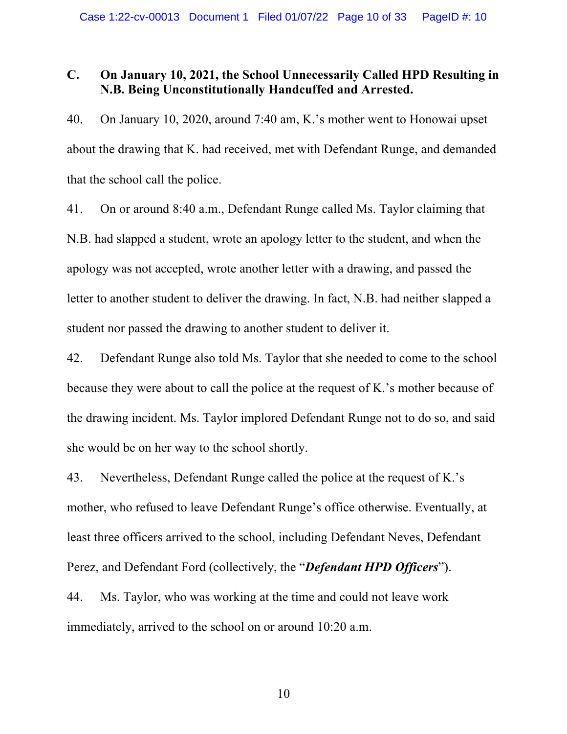### **C. On January 10, 2021, the School Unnecessarily Called HPD Resulting in N.B. Being Unconstitutionally Handcuffed and Arrested.**

40. On January 10, 2020, around 7:40 am, K.'s mother went to Honowai upset about the drawing that K. had received, met with Defendant Runge, and demanded that the school call the police.

41. On or around 8:40 a.m., Defendant Runge called Ms. Taylor claiming that N.B. had slapped a student, wrote an apology letter to the student, and when the apology was not accepted, wrote another letter with a drawing, and passed the letter to another student to deliver the drawing. In fact, N.B. had neither slapped a student nor passed the drawing to another student to deliver it.

42. Defendant Runge also told Ms. Taylor that she needed to come to the school because they were about to call the police at the request of K.'s mother because of the drawing incident. Ms. Taylor implored Defendant Runge not to do so, and said she would be on her way to the school shortly.

43. Nevertheless, Defendant Runge called the police at the request of K.'s mother, who refused to leave Defendant Runge's office otherwise. Eventually, at least three officers arrived to the school, including Defendant Neves, Defendant Perez, and Defendant Ford (collectively, the "*Defendant HPD Officers*").

44. Ms. Taylor, who was working at the time and could not leave work immediately, arrived to the school on or around 10:20 a.m.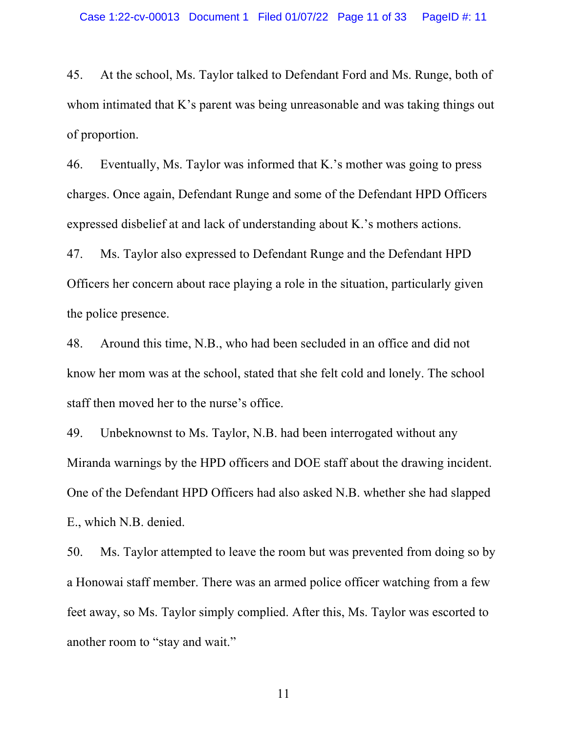45. At the school, Ms. Taylor talked to Defendant Ford and Ms. Runge, both of whom intimated that K's parent was being unreasonable and was taking things out of proportion.

46. Eventually, Ms. Taylor was informed that K.'s mother was going to press charges. Once again, Defendant Runge and some of the Defendant HPD Officers expressed disbelief at and lack of understanding about K.'s mothers actions.

47. Ms. Taylor also expressed to Defendant Runge and the Defendant HPD Officers her concern about race playing a role in the situation, particularly given the police presence.

48. Around this time, N.B., who had been secluded in an office and did not know her mom was at the school, stated that she felt cold and lonely. The school staff then moved her to the nurse's office.

49. Unbeknownst to Ms. Taylor, N.B. had been interrogated without any Miranda warnings by the HPD officers and DOE staff about the drawing incident. One of the Defendant HPD Officers had also asked N.B. whether she had slapped E., which N.B. denied.

50. Ms. Taylor attempted to leave the room but was prevented from doing so by a Honowai staff member. There was an armed police officer watching from a few feet away, so Ms. Taylor simply complied. After this, Ms. Taylor was escorted to another room to "stay and wait."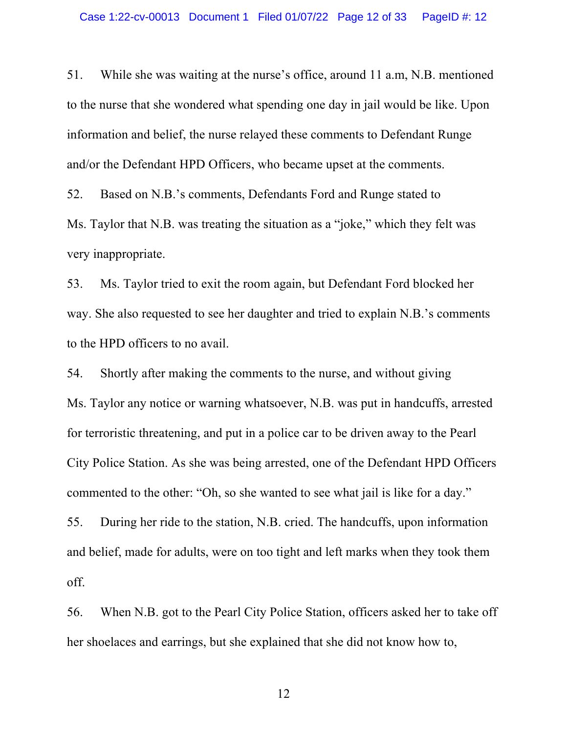51. While she was waiting at the nurse's office, around 11 a.m, N.B. mentioned to the nurse that she wondered what spending one day in jail would be like. Upon information and belief, the nurse relayed these comments to Defendant Runge and/or the Defendant HPD Officers, who became upset at the comments.

52. Based on N.B.'s comments, Defendants Ford and Runge stated to Ms. Taylor that N.B. was treating the situation as a "joke," which they felt was very inappropriate.

53. Ms. Taylor tried to exit the room again, but Defendant Ford blocked her way. She also requested to see her daughter and tried to explain N.B.'s comments to the HPD officers to no avail.

54. Shortly after making the comments to the nurse, and without giving Ms. Taylor any notice or warning whatsoever, N.B. was put in handcuffs, arrested for terroristic threatening, and put in a police car to be driven away to the Pearl City Police Station. As she was being arrested, one of the Defendant HPD Officers commented to the other: "Oh, so she wanted to see what jail is like for a day."

55. During her ride to the station, N.B. cried. The handcuffs, upon information and belief, made for adults, were on too tight and left marks when they took them off.

56. When N.B. got to the Pearl City Police Station, officers asked her to take off her shoelaces and earrings, but she explained that she did not know how to,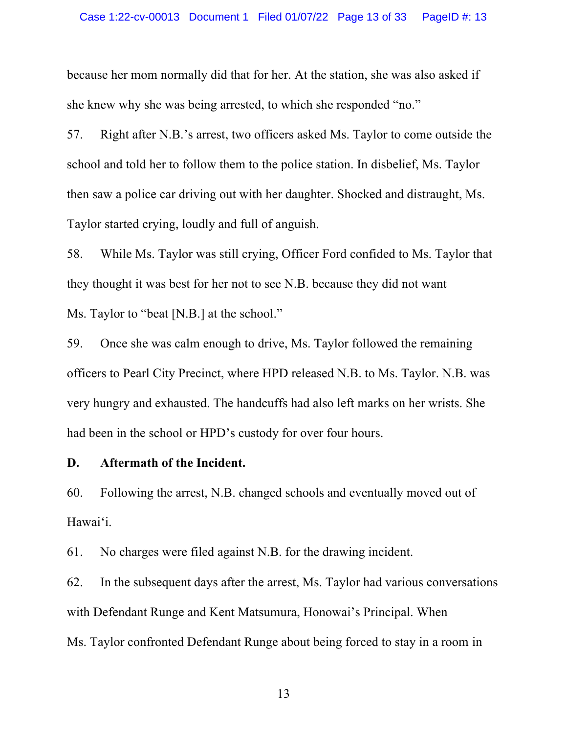because her mom normally did that for her. At the station, she was also asked if she knew why she was being arrested, to which she responded "no."

57. Right after N.B.'s arrest, two officers asked Ms. Taylor to come outside the school and told her to follow them to the police station. In disbelief, Ms. Taylor then saw a police car driving out with her daughter. Shocked and distraught, Ms. Taylor started crying, loudly and full of anguish.

58. While Ms. Taylor was still crying, Officer Ford confided to Ms. Taylor that they thought it was best for her not to see N.B. because they did not want Ms. Taylor to "beat [N.B.] at the school."

59. Once she was calm enough to drive, Ms. Taylor followed the remaining officers to Pearl City Precinct, where HPD released N.B. to Ms. Taylor. N.B. was very hungry and exhausted. The handcuffs had also left marks on her wrists. She had been in the school or HPD's custody for over four hours.

#### **D. Aftermath of the Incident.**

60. Following the arrest, N.B. changed schools and eventually moved out of Hawaiʻi.

61. No charges were filed against N.B. for the drawing incident.

62. In the subsequent days after the arrest, Ms. Taylor had various conversations with Defendant Runge and Kent Matsumura, Honowai's Principal. When Ms. Taylor confronted Defendant Runge about being forced to stay in a room in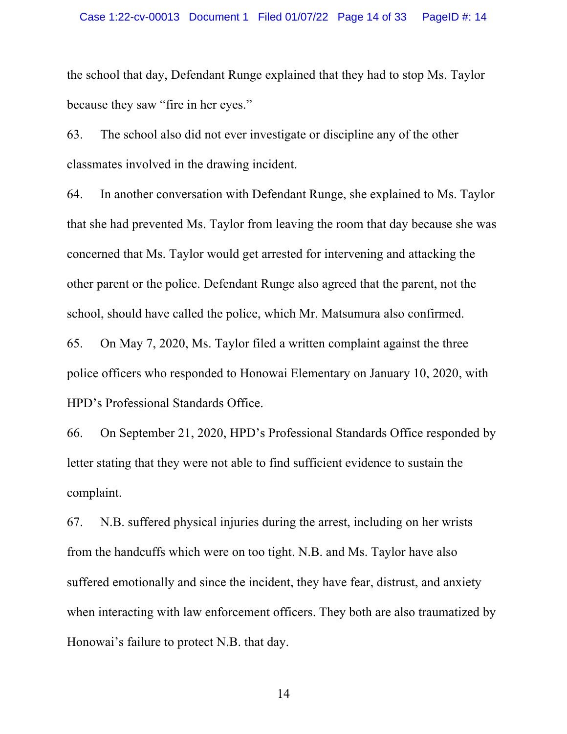the school that day, Defendant Runge explained that they had to stop Ms. Taylor because they saw "fire in her eyes."

63. The school also did not ever investigate or discipline any of the other classmates involved in the drawing incident.

64. In another conversation with Defendant Runge, she explained to Ms. Taylor that she had prevented Ms. Taylor from leaving the room that day because she was concerned that Ms. Taylor would get arrested for intervening and attacking the other parent or the police. Defendant Runge also agreed that the parent, not the school, should have called the police, which Mr. Matsumura also confirmed.

65. On May 7, 2020, Ms. Taylor filed a written complaint against the three police officers who responded to Honowai Elementary on January 10, 2020, with HPD's Professional Standards Office.

66. On September 21, 2020, HPD's Professional Standards Office responded by letter stating that they were not able to find sufficient evidence to sustain the complaint.

67. N.B. suffered physical injuries during the arrest, including on her wrists from the handcuffs which were on too tight. N.B. and Ms. Taylor have also suffered emotionally and since the incident, they have fear, distrust, and anxiety when interacting with law enforcement officers. They both are also traumatized by Honowai's failure to protect N.B. that day.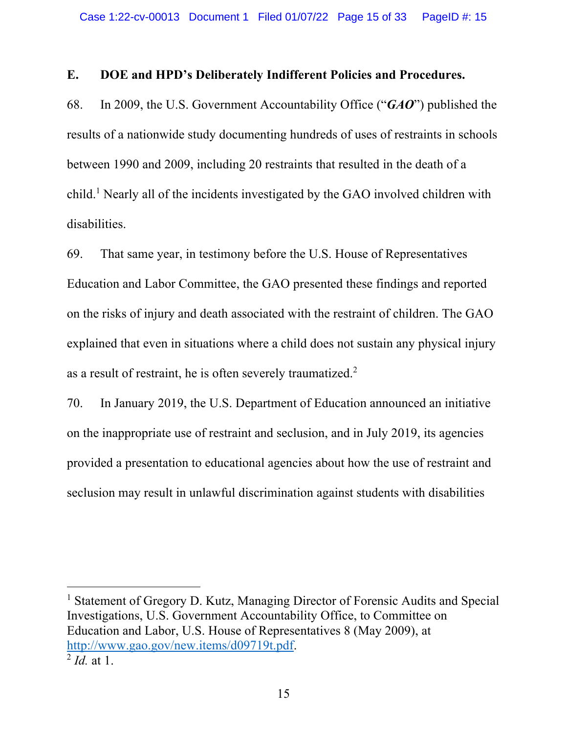### **E. DOE and HPD's Deliberately Indifferent Policies and Procedures.**

68. In 2009, the U.S. Government Accountability Office ("*GAO*") published the results of a nationwide study documenting hundreds of uses of restraints in schools between 1990 and 2009, including 20 restraints that resulted in the death of a child.1 Nearly all of the incidents investigated by the GAO involved children with disabilities.

69. That same year, in testimony before the U.S. House of Representatives Education and Labor Committee, the GAO presented these findings and reported on the risks of injury and death associated with the restraint of children. The GAO explained that even in situations where a child does not sustain any physical injury as a result of restraint, he is often severely traumatized.2

70. In January 2019, the U.S. Department of Education announced an initiative on the inappropriate use of restraint and seclusion, and in July 2019, its agencies provided a presentation to educational agencies about how the use of restraint and seclusion may result in unlawful discrimination against students with disabilities

<sup>1</sup> Statement of Gregory D. Kutz, Managing Director of Forensic Audits and Special Investigations, U.S. Government Accountability Office, to Committee on Education and Labor, U.S. House of Representatives 8 (May 2009), at http://www.gao.gov/new.items/d09719t.pdf. <sup>2</sup> *Id.* at 1.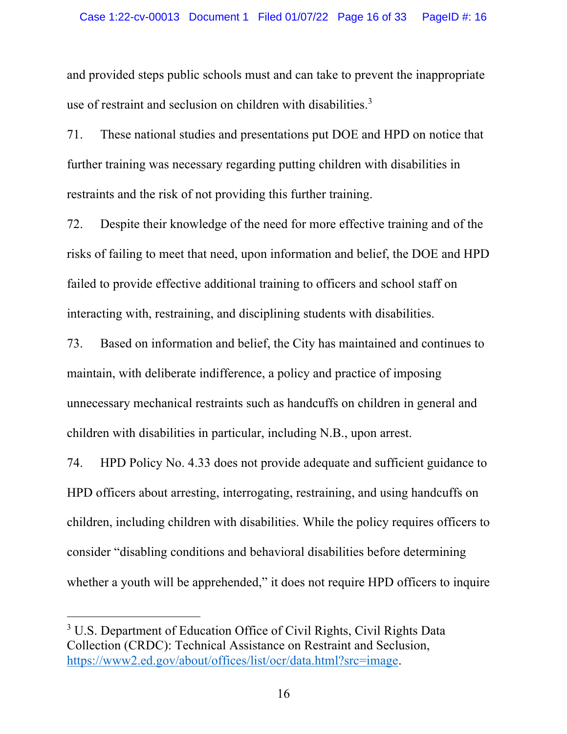and provided steps public schools must and can take to prevent the inappropriate use of restraint and seclusion on children with disabilities.<sup>3</sup>

71. These national studies and presentations put DOE and HPD on notice that further training was necessary regarding putting children with disabilities in restraints and the risk of not providing this further training.

72. Despite their knowledge of the need for more effective training and of the risks of failing to meet that need, upon information and belief, the DOE and HPD failed to provide effective additional training to officers and school staff on interacting with, restraining, and disciplining students with disabilities.

73. Based on information and belief, the City has maintained and continues to maintain, with deliberate indifference, a policy and practice of imposing unnecessary mechanical restraints such as handcuffs on children in general and children with disabilities in particular, including N.B., upon arrest.

74. HPD Policy No. 4.33 does not provide adequate and sufficient guidance to HPD officers about arresting, interrogating, restraining, and using handcuffs on children, including children with disabilities. While the policy requires officers to consider "disabling conditions and behavioral disabilities before determining whether a youth will be apprehended," it does not require HPD officers to inquire

<sup>&</sup>lt;sup>3</sup> U.S. Department of Education Office of Civil Rights, Civil Rights Data Collection (CRDC): Technical Assistance on Restraint and Seclusion, https://www2.ed.gov/about/offices/list/ocr/data.html?src=image.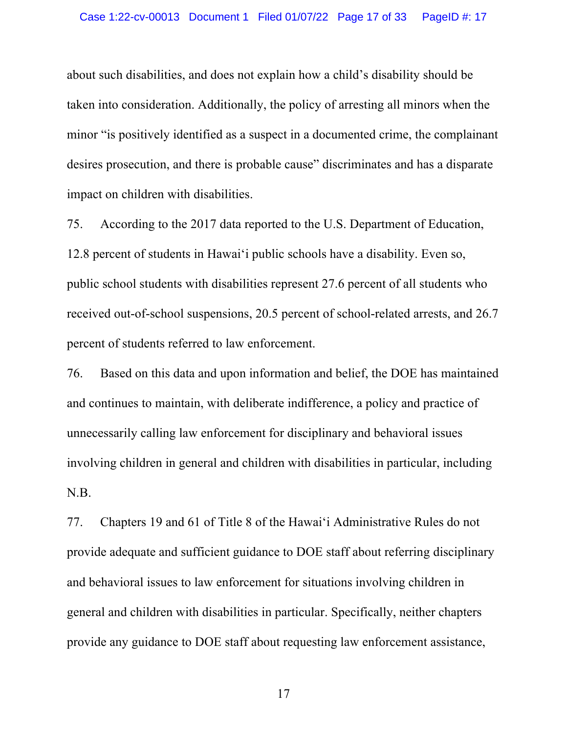about such disabilities, and does not explain how a child's disability should be taken into consideration. Additionally, the policy of arresting all minors when the minor "is positively identified as a suspect in a documented crime, the complainant desires prosecution, and there is probable cause" discriminates and has a disparate impact on children with disabilities.

75. According to the 2017 data reported to the U.S. Department of Education, 12.8 percent of students in Hawaiʻi public schools have a disability. Even so, public school students with disabilities represent 27.6 percent of all students who received out-of-school suspensions, 20.5 percent of school-related arrests, and 26.7 percent of students referred to law enforcement.

76. Based on this data and upon information and belief, the DOE has maintained and continues to maintain, with deliberate indifference, a policy and practice of unnecessarily calling law enforcement for disciplinary and behavioral issues involving children in general and children with disabilities in particular, including N.B.

77. Chapters 19 and 61 of Title 8 of the Hawaiʻi Administrative Rules do not provide adequate and sufficient guidance to DOE staff about referring disciplinary and behavioral issues to law enforcement for situations involving children in general and children with disabilities in particular. Specifically, neither chapters provide any guidance to DOE staff about requesting law enforcement assistance,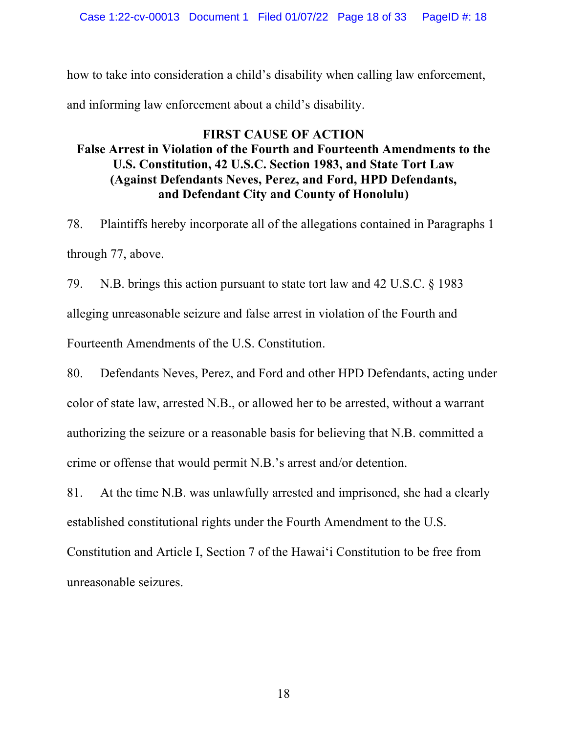how to take into consideration a child's disability when calling law enforcement, and informing law enforcement about a child's disability.

## **FIRST CAUSE OF ACTION False Arrest in Violation of the Fourth and Fourteenth Amendments to the U.S. Constitution, 42 U.S.C. Section 1983, and State Tort Law (Against Defendants Neves, Perez, and Ford, HPD Defendants, and Defendant City and County of Honolulu)**

78. Plaintiffs hereby incorporate all of the allegations contained in Paragraphs 1 through 77, above.

79. N.B. brings this action pursuant to state tort law and 42 U.S.C. § 1983 alleging unreasonable seizure and false arrest in violation of the Fourth and Fourteenth Amendments of the U.S. Constitution.

80. Defendants Neves, Perez, and Ford and other HPD Defendants, acting under color of state law, arrested N.B., or allowed her to be arrested, without a warrant authorizing the seizure or a reasonable basis for believing that N.B. committed a crime or offense that would permit N.B.'s arrest and/or detention.

81. At the time N.B. was unlawfully arrested and imprisoned, she had a clearly established constitutional rights under the Fourth Amendment to the U.S.

Constitution and Article I, Section 7 of the Hawaiʻi Constitution to be free from unreasonable seizures.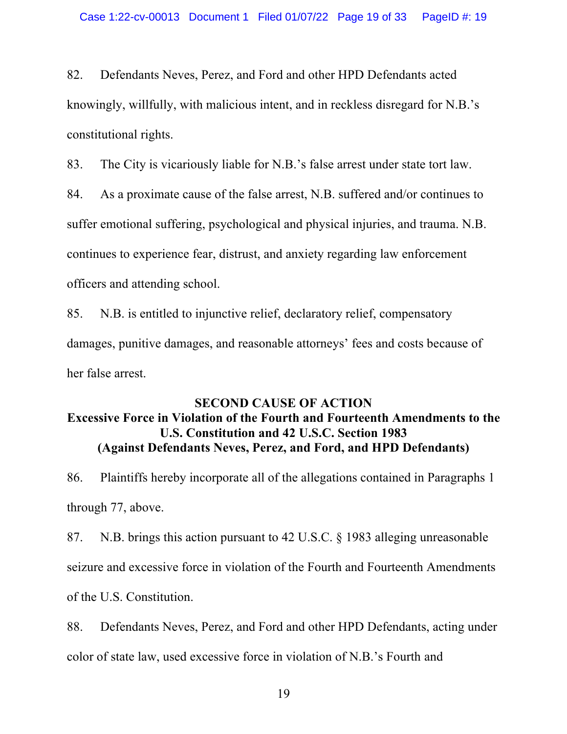82. Defendants Neves, Perez, and Ford and other HPD Defendants acted knowingly, willfully, with malicious intent, and in reckless disregard for N.B.'s constitutional rights.

83. The City is vicariously liable for N.B.'s false arrest under state tort law.

84. As a proximate cause of the false arrest, N.B. suffered and/or continues to suffer emotional suffering, psychological and physical injuries, and trauma. N.B. continues to experience fear, distrust, and anxiety regarding law enforcement officers and attending school.

85. N.B. is entitled to injunctive relief, declaratory relief, compensatory damages, punitive damages, and reasonable attorneys' fees and costs because of her false arrest.

## **SECOND CAUSE OF ACTION Excessive Force in Violation of the Fourth and Fourteenth Amendments to the U.S. Constitution and 42 U.S.C. Section 1983 (Against Defendants Neves, Perez, and Ford, and HPD Defendants)**

86. Plaintiffs hereby incorporate all of the allegations contained in Paragraphs 1 through 77, above.

87. N.B. brings this action pursuant to 42 U.S.C. § 1983 alleging unreasonable seizure and excessive force in violation of the Fourth and Fourteenth Amendments of the U.S. Constitution.

88. Defendants Neves, Perez, and Ford and other HPD Defendants, acting under color of state law, used excessive force in violation of N.B.'s Fourth and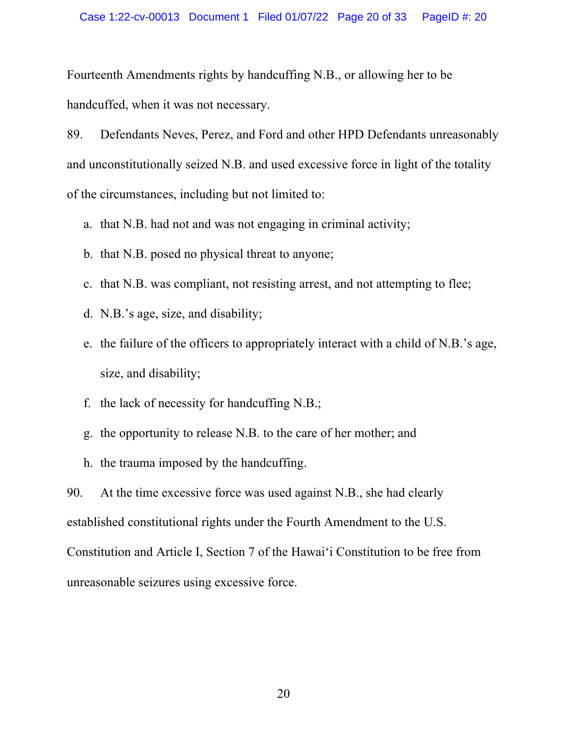Fourteenth Amendments rights by handcuffing N.B., or allowing her to be handcuffed, when it was not necessary.

89. Defendants Neves, Perez, and Ford and other HPD Defendants unreasonably and unconstitutionally seized N.B. and used excessive force in light of the totality of the circumstances, including but not limited to:

- a. that N.B. had not and was not engaging in criminal activity;
- b. that N.B. posed no physical threat to anyone;
- c. that N.B. was compliant, not resisting arrest, and not attempting to flee;
- d. N.B.'s age, size, and disability;
- e. the failure of the officers to appropriately interact with a child of N.B.'s age, size, and disability;
- f. the lack of necessity for handcuffing N.B.;
- g. the opportunity to release N.B. to the care of her mother; and
- h. the trauma imposed by the handcuffing.

90. At the time excessive force was used against N.B., she had clearly established constitutional rights under the Fourth Amendment to the U.S. Constitution and Article I, Section 7 of the Hawaiʻi Constitution to be free from unreasonable seizures using excessive force.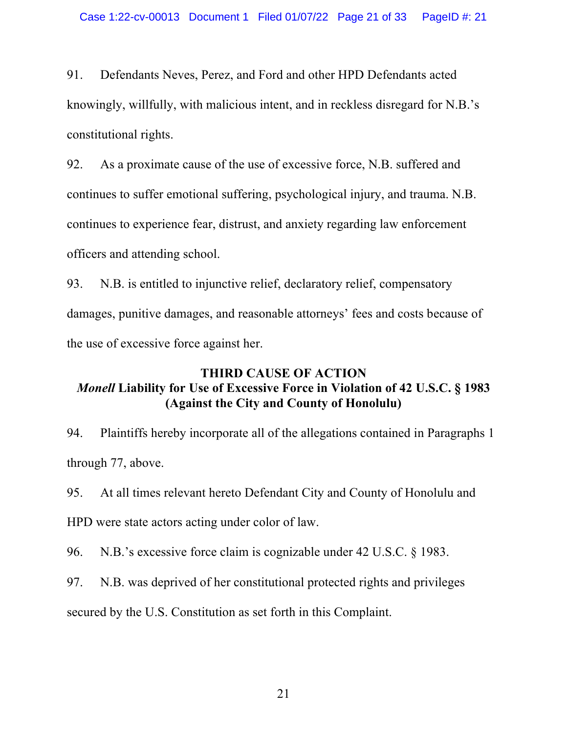91. Defendants Neves, Perez, and Ford and other HPD Defendants acted knowingly, willfully, with malicious intent, and in reckless disregard for N.B.'s constitutional rights.

92. As a proximate cause of the use of excessive force, N.B. suffered and continues to suffer emotional suffering, psychological injury, and trauma. N.B. continues to experience fear, distrust, and anxiety regarding law enforcement officers and attending school.

93. N.B. is entitled to injunctive relief, declaratory relief, compensatory damages, punitive damages, and reasonable attorneys' fees and costs because of the use of excessive force against her.

## **THIRD CAUSE OF ACTION** *Monell* **Liability for Use of Excessive Force in Violation of 42 U.S.C. § 1983 (Against the City and County of Honolulu)**

94. Plaintiffs hereby incorporate all of the allegations contained in Paragraphs 1 through 77, above.

95. At all times relevant hereto Defendant City and County of Honolulu and

HPD were state actors acting under color of law.

96. N.B.'s excessive force claim is cognizable under 42 U.S.C. § 1983.

97. N.B. was deprived of her constitutional protected rights and privileges

secured by the U.S. Constitution as set forth in this Complaint.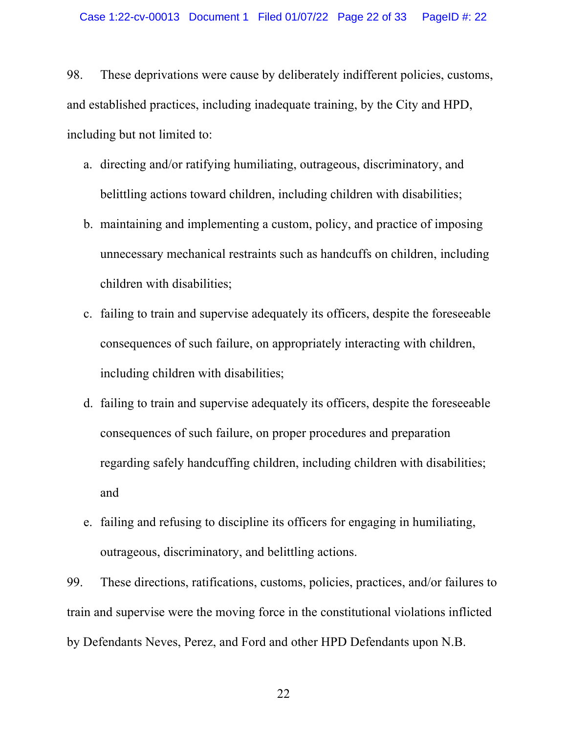98. These deprivations were cause by deliberately indifferent policies, customs, and established practices, including inadequate training, by the City and HPD, including but not limited to:

- a. directing and/or ratifying humiliating, outrageous, discriminatory, and belittling actions toward children, including children with disabilities;
- b. maintaining and implementing a custom, policy, and practice of imposing unnecessary mechanical restraints such as handcuffs on children, including children with disabilities;
- c. failing to train and supervise adequately its officers, despite the foreseeable consequences of such failure, on appropriately interacting with children, including children with disabilities;
- d. failing to train and supervise adequately its officers, despite the foreseeable consequences of such failure, on proper procedures and preparation regarding safely handcuffing children, including children with disabilities; and
- e. failing and refusing to discipline its officers for engaging in humiliating, outrageous, discriminatory, and belittling actions.

99. These directions, ratifications, customs, policies, practices, and/or failures to train and supervise were the moving force in the constitutional violations inflicted by Defendants Neves, Perez, and Ford and other HPD Defendants upon N.B.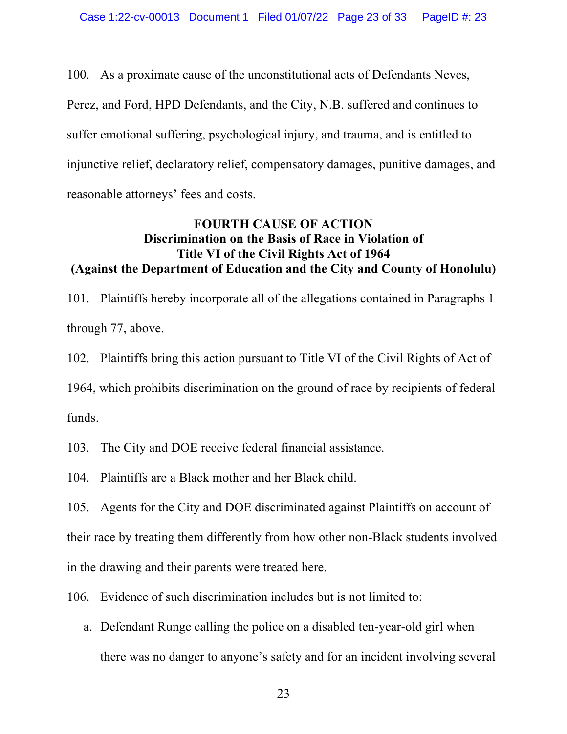100. As a proximate cause of the unconstitutional acts of Defendants Neves, Perez, and Ford, HPD Defendants, and the City, N.B. suffered and continues to

suffer emotional suffering, psychological injury, and trauma, and is entitled to injunctive relief, declaratory relief, compensatory damages, punitive damages, and reasonable attorneys' fees and costs.

## **FOURTH CAUSE OF ACTION Discrimination on the Basis of Race in Violation of Title VI of the Civil Rights Act of 1964 (Against the Department of Education and the City and County of Honolulu)**

101. Plaintiffs hereby incorporate all of the allegations contained in Paragraphs 1 through 77, above.

102. Plaintiffs bring this action pursuant to Title VI of the Civil Rights of Act of 1964, which prohibits discrimination on the ground of race by recipients of federal funds.

103. The City and DOE receive federal financial assistance.

104. Plaintiffs are a Black mother and her Black child.

105. Agents for the City and DOE discriminated against Plaintiffs on account of their race by treating them differently from how other non-Black students involved in the drawing and their parents were treated here.

106. Evidence of such discrimination includes but is not limited to:

a. Defendant Runge calling the police on a disabled ten-year-old girl when there was no danger to anyone's safety and for an incident involving several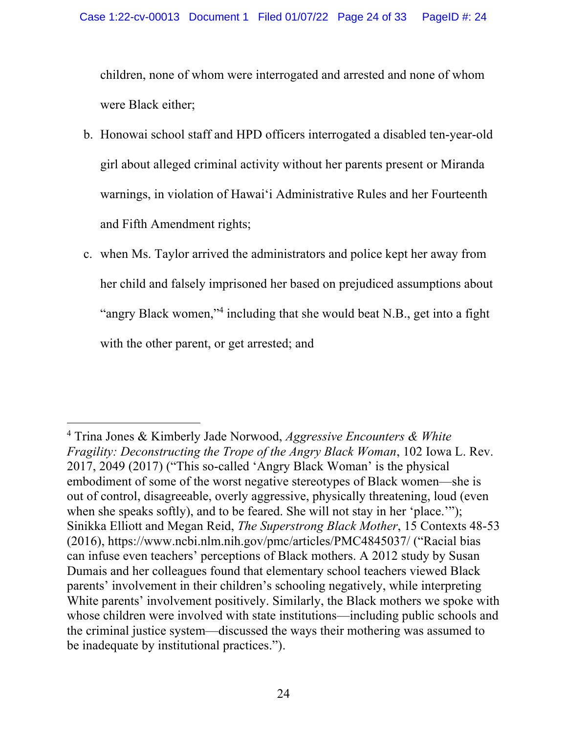children, none of whom were interrogated and arrested and none of whom were Black either;

- b. Honowai school staff and HPD officers interrogated a disabled ten-year-old girl about alleged criminal activity without her parents present or Miranda warnings, in violation of Hawaiʻi Administrative Rules and her Fourteenth and Fifth Amendment rights;
- c. when Ms. Taylor arrived the administrators and police kept her away from her child and falsely imprisoned her based on prejudiced assumptions about "angry Black women,"<sup>4</sup> including that she would beat N.B., get into a fight with the other parent, or get arrested; and

<sup>4</sup> Trina Jones & Kimberly Jade Norwood, *Aggressive Encounters & White Fragility: Deconstructing the Trope of the Angry Black Woman*, 102 Iowa L. Rev. 2017, 2049 (2017) ("This so-called 'Angry Black Woman' is the physical embodiment of some of the worst negative stereotypes of Black women—she is out of control, disagreeable, overly aggressive, physically threatening, loud (even when she speaks softly), and to be feared. She will not stay in her 'place.'"); Sinikka Elliott and Megan Reid, *The Superstrong Black Mother*, 15 Contexts 48-53 (2016), https://www.ncbi.nlm.nih.gov/pmc/articles/PMC4845037/ ("Racial bias can infuse even teachers' perceptions of Black mothers. A 2012 study by Susan Dumais and her colleagues found that elementary school teachers viewed Black parents' involvement in their children's schooling negatively, while interpreting White parents' involvement positively. Similarly, the Black mothers we spoke with whose children were involved with state institutions—including public schools and the criminal justice system—discussed the ways their mothering was assumed to be inadequate by institutional practices.").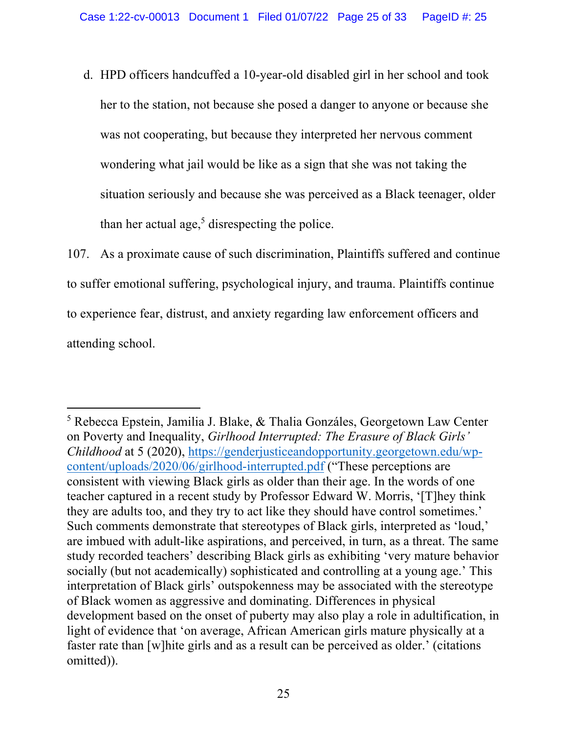d. HPD officers handcuffed a 10-year-old disabled girl in her school and took her to the station, not because she posed a danger to anyone or because she was not cooperating, but because they interpreted her nervous comment wondering what jail would be like as a sign that she was not taking the situation seriously and because she was perceived as a Black teenager, older than her actual age,<sup>5</sup> disrespecting the police.

107. As a proximate cause of such discrimination, Plaintiffs suffered and continue to suffer emotional suffering, psychological injury, and trauma. Plaintiffs continue to experience fear, distrust, and anxiety regarding law enforcement officers and attending school.

<sup>5</sup> Rebecca Epstein, Jamilia J. Blake, & Thalia Gonzáles, Georgetown Law Center on Poverty and Inequality, *Girlhood Interrupted: The Erasure of Black Girls' Childhood* at 5 (2020), https://genderjusticeandopportunity.georgetown.edu/wpcontent/uploads/2020/06/girlhood-interrupted.pdf ("These perceptions are consistent with viewing Black girls as older than their age. In the words of one teacher captured in a recent study by Professor Edward W. Morris, '[T]hey think they are adults too, and they try to act like they should have control sometimes.' Such comments demonstrate that stereotypes of Black girls, interpreted as 'loud,' are imbued with adult-like aspirations, and perceived, in turn, as a threat. The same study recorded teachers' describing Black girls as exhibiting 'very mature behavior socially (but not academically) sophisticated and controlling at a young age.' This interpretation of Black girls' outspokenness may be associated with the stereotype of Black women as aggressive and dominating. Differences in physical development based on the onset of puberty may also play a role in adultification, in light of evidence that 'on average, African American girls mature physically at a faster rate than [w]hite girls and as a result can be perceived as older.' (citations omitted)).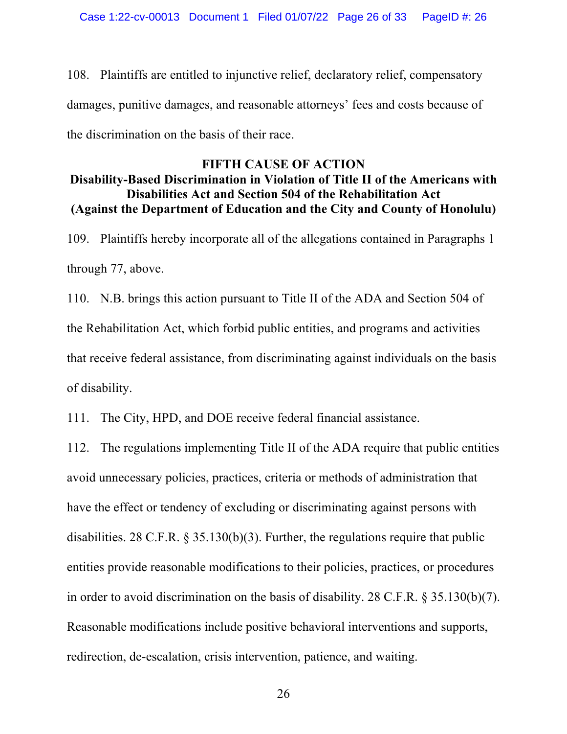108. Plaintiffs are entitled to injunctive relief, declaratory relief, compensatory damages, punitive damages, and reasonable attorneys' fees and costs because of the discrimination on the basis of their race.

# **FIFTH CAUSE OF ACTION**

### **Disability-Based Discrimination in Violation of Title II of the Americans with Disabilities Act and Section 504 of the Rehabilitation Act (Against the Department of Education and the City and County of Honolulu)**

109. Plaintiffs hereby incorporate all of the allegations contained in Paragraphs 1 through 77, above.

110. N.B. brings this action pursuant to Title II of the ADA and Section 504 of the Rehabilitation Act, which forbid public entities, and programs and activities that receive federal assistance, from discriminating against individuals on the basis of disability.

111. The City, HPD, and DOE receive federal financial assistance.

112. The regulations implementing Title II of the ADA require that public entities avoid unnecessary policies, practices, criteria or methods of administration that have the effect or tendency of excluding or discriminating against persons with disabilities. 28 C.F.R. § 35.130(b)(3). Further, the regulations require that public entities provide reasonable modifications to their policies, practices, or procedures in order to avoid discrimination on the basis of disability. 28 C.F.R. § 35.130(b)(7). Reasonable modifications include positive behavioral interventions and supports, redirection, de-escalation, crisis intervention, patience, and waiting.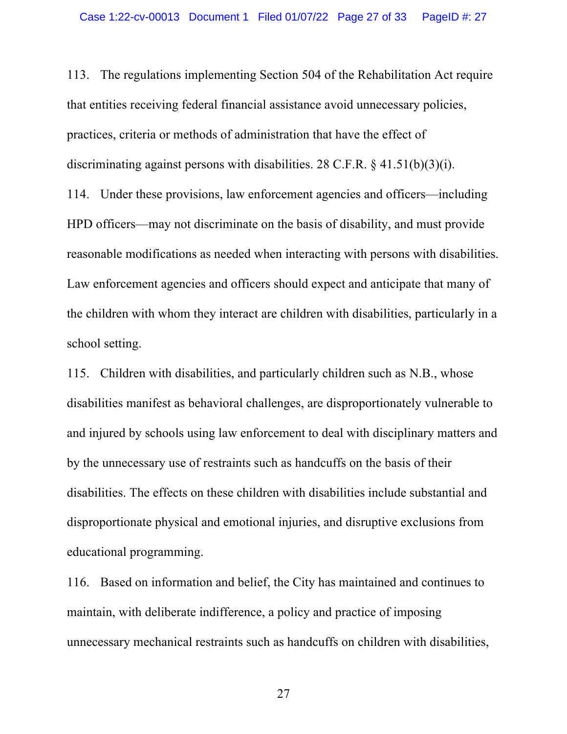113. The regulations implementing Section 504 of the Rehabilitation Act require that entities receiving federal financial assistance avoid unnecessary policies, practices, criteria or methods of administration that have the effect of discriminating against persons with disabilities. 28 C.F.R. § 41.51(b)(3)(i). 114. Under these provisions, law enforcement agencies and officers—including HPD officers—may not discriminate on the basis of disability, and must provide reasonable modifications as needed when interacting with persons with disabilities. Law enforcement agencies and officers should expect and anticipate that many of the children with whom they interact are children with disabilities, particularly in a school setting.

115. Children with disabilities, and particularly children such as N.B., whose disabilities manifest as behavioral challenges, are disproportionately vulnerable to and injured by schools using law enforcement to deal with disciplinary matters and by the unnecessary use of restraints such as handcuffs on the basis of their disabilities. The effects on these children with disabilities include substantial and disproportionate physical and emotional injuries, and disruptive exclusions from educational programming.

116. Based on information and belief, the City has maintained and continues to maintain, with deliberate indifference, a policy and practice of imposing unnecessary mechanical restraints such as handcuffs on children with disabilities,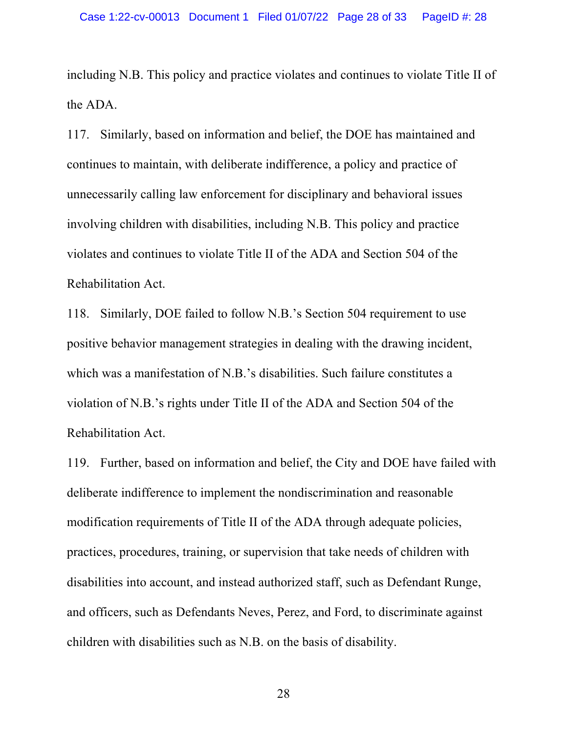including N.B. This policy and practice violates and continues to violate Title II of the ADA.

117. Similarly, based on information and belief, the DOE has maintained and continues to maintain, with deliberate indifference, a policy and practice of unnecessarily calling law enforcement for disciplinary and behavioral issues involving children with disabilities, including N.B. This policy and practice violates and continues to violate Title II of the ADA and Section 504 of the Rehabilitation Act.

118. Similarly, DOE failed to follow N.B.'s Section 504 requirement to use positive behavior management strategies in dealing with the drawing incident, which was a manifestation of N.B.'s disabilities. Such failure constitutes a violation of N.B.'s rights under Title II of the ADA and Section 504 of the Rehabilitation Act.

119. Further, based on information and belief, the City and DOE have failed with deliberate indifference to implement the nondiscrimination and reasonable modification requirements of Title II of the ADA through adequate policies, practices, procedures, training, or supervision that take needs of children with disabilities into account, and instead authorized staff, such as Defendant Runge, and officers, such as Defendants Neves, Perez, and Ford, to discriminate against children with disabilities such as N.B. on the basis of disability.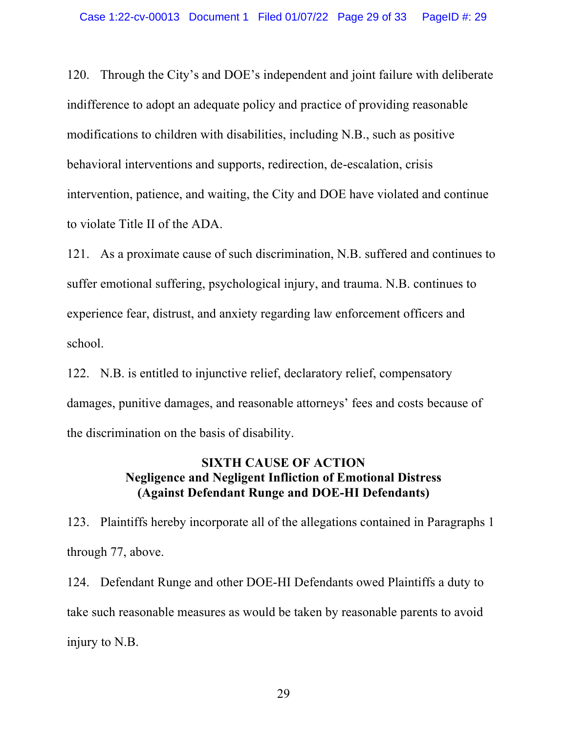120. Through the City's and DOE's independent and joint failure with deliberate indifference to adopt an adequate policy and practice of providing reasonable modifications to children with disabilities, including N.B., such as positive behavioral interventions and supports, redirection, de-escalation, crisis intervention, patience, and waiting, the City and DOE have violated and continue to violate Title II of the ADA.

121. As a proximate cause of such discrimination, N.B. suffered and continues to suffer emotional suffering, psychological injury, and trauma. N.B. continues to experience fear, distrust, and anxiety regarding law enforcement officers and school.

122. N.B. is entitled to injunctive relief, declaratory relief, compensatory damages, punitive damages, and reasonable attorneys' fees and costs because of the discrimination on the basis of disability.

## **SIXTH CAUSE OF ACTION Negligence and Negligent Infliction of Emotional Distress (Against Defendant Runge and DOE-HI Defendants)**

123. Plaintiffs hereby incorporate all of the allegations contained in Paragraphs 1 through 77, above.

124. Defendant Runge and other DOE-HI Defendants owed Plaintiffs a duty to take such reasonable measures as would be taken by reasonable parents to avoid injury to N.B.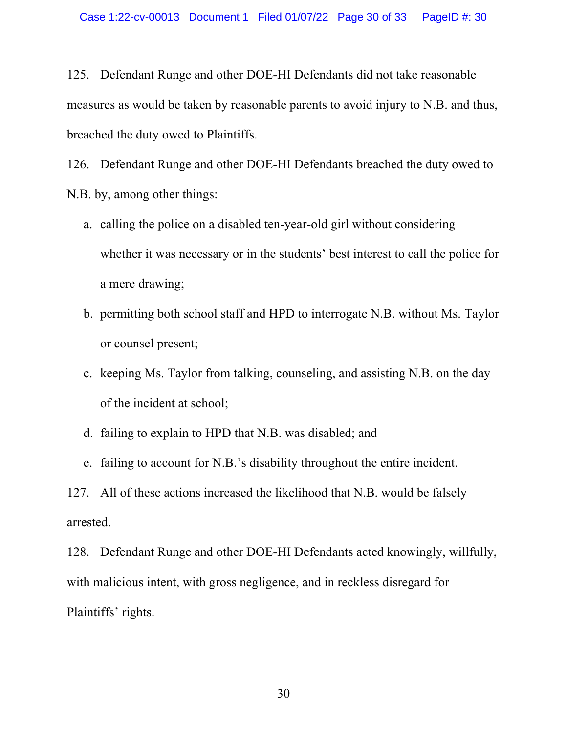125. Defendant Runge and other DOE-HI Defendants did not take reasonable measures as would be taken by reasonable parents to avoid injury to N.B. and thus, breached the duty owed to Plaintiffs.

126. Defendant Runge and other DOE-HI Defendants breached the duty owed to N.B. by, among other things:

- a. calling the police on a disabled ten-year-old girl without considering whether it was necessary or in the students' best interest to call the police for a mere drawing;
- b. permitting both school staff and HPD to interrogate N.B. without Ms. Taylor or counsel present;
- c. keeping Ms. Taylor from talking, counseling, and assisting N.B. on the day of the incident at school;
- d. failing to explain to HPD that N.B. was disabled; and
- e. failing to account for N.B.'s disability throughout the entire incident.

127. All of these actions increased the likelihood that N.B. would be falsely arrested.

128. Defendant Runge and other DOE-HI Defendants acted knowingly, willfully, with malicious intent, with gross negligence, and in reckless disregard for Plaintiffs' rights.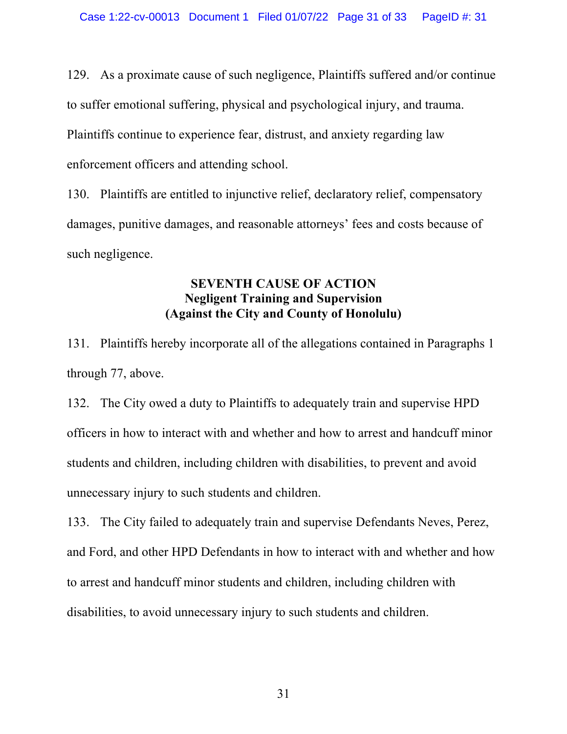129. As a proximate cause of such negligence, Plaintiffs suffered and/or continue to suffer emotional suffering, physical and psychological injury, and trauma. Plaintiffs continue to experience fear, distrust, and anxiety regarding law enforcement officers and attending school.

130. Plaintiffs are entitled to injunctive relief, declaratory relief, compensatory damages, punitive damages, and reasonable attorneys' fees and costs because of such negligence.

### **SEVENTH CAUSE OF ACTION Negligent Training and Supervision (Against the City and County of Honolulu)**

131. Plaintiffs hereby incorporate all of the allegations contained in Paragraphs 1 through 77, above.

132. The City owed a duty to Plaintiffs to adequately train and supervise HPD officers in how to interact with and whether and how to arrest and handcuff minor students and children, including children with disabilities, to prevent and avoid unnecessary injury to such students and children.

133. The City failed to adequately train and supervise Defendants Neves, Perez, and Ford, and other HPD Defendants in how to interact with and whether and how to arrest and handcuff minor students and children, including children with disabilities, to avoid unnecessary injury to such students and children.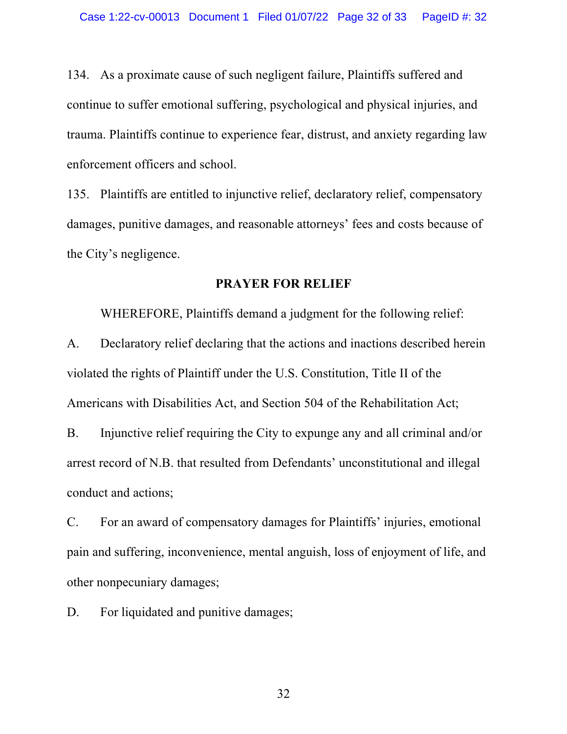134. As a proximate cause of such negligent failure, Plaintiffs suffered and continue to suffer emotional suffering, psychological and physical injuries, and trauma. Plaintiffs continue to experience fear, distrust, and anxiety regarding law enforcement officers and school.

135. Plaintiffs are entitled to injunctive relief, declaratory relief, compensatory damages, punitive damages, and reasonable attorneys' fees and costs because of the City's negligence.

#### **PRAYER FOR RELIEF**

WHEREFORE, Plaintiffs demand a judgment for the following relief: A. Declaratory relief declaring that the actions and inactions described herein violated the rights of Plaintiff under the U.S. Constitution, Title II of the Americans with Disabilities Act, and Section 504 of the Rehabilitation Act;

B. Injunctive relief requiring the City to expunge any and all criminal and/or arrest record of N.B. that resulted from Defendants' unconstitutional and illegal conduct and actions;

C. For an award of compensatory damages for Plaintiffs' injuries, emotional pain and suffering, inconvenience, mental anguish, loss of enjoyment of life, and other nonpecuniary damages;

D. For liquidated and punitive damages;